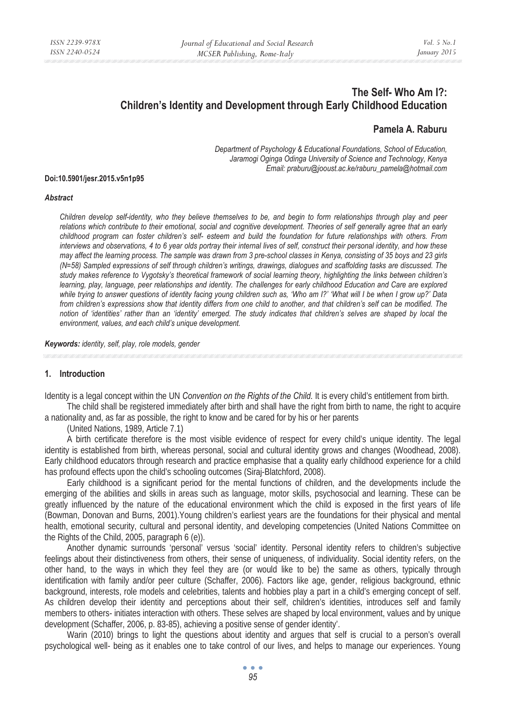# **The Self- Who Am I?: Children's Identity and Development through Early Childhood Education**

# **Pamela A. Raburu**

*Department of Psychology & Educational Foundations, School of Education, Jaramogi Oginga Odinga University of Science and Technology, Kenya Email: praburu@jooust.ac.ke/raburu\_pamela@hotmail.com* 

## **Doi:10.5901/jesr.2015.v5n1p95**

#### *Abstract*

*Children develop self-identity, who they believe themselves to be, and begin to form relationships through play and peer relations which contribute to their emotional, social and cognitive development. Theories of self generally agree that an early childhood program can foster children's self- esteem and build the foundation for future relationships with others. From interviews and observations, 4 to 6 year olds portray their internal lives of self, construct their personal identity, and how these may affect the learning process. The sample was drawn from 3 pre-school classes in Kenya, consisting of 35 boys and 23 girls (N=58) Sampled expressions of self through children's writings, drawings, dialogues and scaffolding tasks are discussed. The study makes reference to Vygotsky's theoretical framework of social learning theory, highlighting the links between children's learning, play, language, peer relationships and identity. The challenges for early childhood Education and Care are explored while trying to answer questions of identity facing young children such as, 'Who am I?' 'What will I be when I grow up?' Data from children's expressions show that identity differs from one child to another, and that children's self can be modified. The notion of 'identities' rather than an 'identity' emerged. The study indicates that children's selves are shaped by local the environment, values, and each child's unique development.* 

*Keywords: identity, self, play, role models, gender*

## **1. Introduction**

Identity is a legal concept within the UN *Convention on the Rights of the Child.* It is every child's entitlement from birth. The child shall be registered immediately after birth and shall have the right from birth to name, the right to acquire

a nationality and, as far as possible, the right to know and be cared for by his or her parents

(United Nations, 1989, Article 7.1)

A birth certificate therefore is the most visible evidence of respect for every child's unique identity. The legal identity is established from birth, whereas personal, social and cultural identity grows and changes (Woodhead, 2008). Early childhood educators through research and practice emphasise that a quality early childhood experience for a child has profound effects upon the child's schooling outcomes (Siraj-Blatchford, 2008).

Early childhood is a significant period for the mental functions of children, and the developments include the emerging of the abilities and skills in areas such as language, motor skills, psychosocial and learning. These can be greatly influenced by the nature of the educational environment which the child is exposed in the first years of life (Bowman, Donovan and Burns, 2001).Young children's earliest years are the foundations for their physical and mental health, emotional security, cultural and personal identity, and developing competencies (United Nations Committee on the Rights of the Child, 2005, paragraph 6 (e)).

Another dynamic surrounds 'personal' versus 'social' identity. Personal identity refers to children's subjective feelings about their distinctiveness from others, their sense of uniqueness, of individuality. Social identity refers, on the other hand, to the ways in which they feel they are (or would like to be) the same as others, typically through identification with family and/or peer culture (Schaffer, 2006). Factors like age, gender, religious background, ethnic background, interests, role models and celebrities, talents and hobbies play a part in a child's emerging concept of self. As children develop their identity and perceptions about their self, children's identities, introduces self and family members to others- initiates interaction with others. These selves are shaped by local environment, values and by unique development (Schaffer, 2006, p. 83-85), achieving a positive sense of gender identity'.

Warin (2010) brings to light the questions about identity and argues that self is crucial to a person's overall psychological well- being as it enables one to take control of our lives, and helps to manage our experiences. Young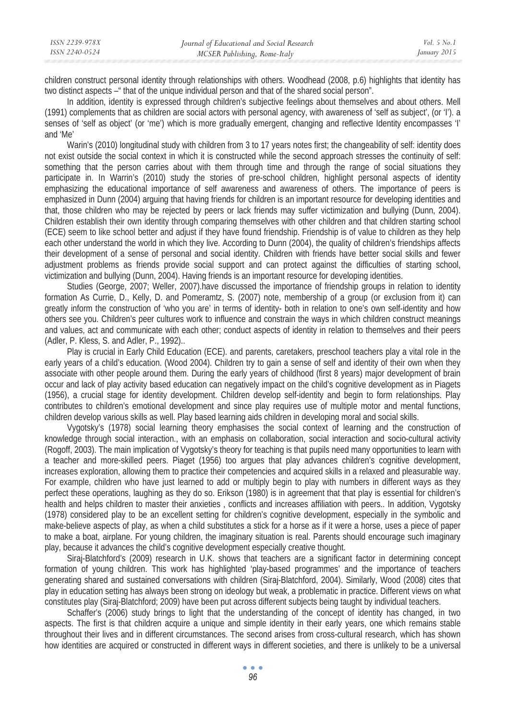| ISSN 2239-978X | Journal of Educational and Social Research | Vol. 5 No. 1 |
|----------------|--------------------------------------------|--------------|
| ISSN 2240-0524 | MCSER Publishing, Rome-Italy               | January 2015 |

children construct personal identity through relationships with others. Woodhead (2008, p.6) highlights that identity has two distinct aspects –" that of the unique individual person and that of the shared social person".

In addition, identity is expressed through children's subjective feelings about themselves and about others. Mell (1991) complements that as children are social actors with personal agency, with awareness of 'self as subject', (or 'I'). a senses of 'self as object' (or 'me') which is more gradually emergent, changing and reflective Identity encompasses 'I' and 'Me'

Warin's (2010) longitudinal study with children from 3 to 17 years notes first; the changeability of self: identity does not exist outside the social context in which it is constructed while the second approach stresses the continuity of self: something that the person carries about with them through time and through the range of social situations they participate in. In Warrin's (2010) study the stories of pre-school children, highlight personal aspects of identity emphasizing the educational importance of self awareness and awareness of others. The importance of peers is emphasized in Dunn (2004) arguing that having friends for children is an important resource for developing identities and that, those children who may be rejected by peers or lack friends may suffer victimization and bullying (Dunn, 2004). Children establish their own identity through comparing themselves with other children and that children starting school (ECE) seem to like school better and adjust if they have found friendship. Friendship is of value to children as they help each other understand the world in which they live. According to Dunn (2004), the quality of children's friendships affects their development of a sense of personal and social identity. Children with friends have better social skills and fewer adjustment problems as friends provide social support and can protect against the difficulties of starting school, victimization and bullying (Dunn, 2004). Having friends is an important resource for developing identities.

Studies (George, 2007; Weller, 2007).have discussed the importance of friendship groups in relation to identity formation As Currie, D., Kelly, D. and Pomeramtz, S. (2007) note, membership of a group (or exclusion from it) can greatly inform the construction of 'who you are' in terms of identity- both in relation to one's own self-identity and how others see you. Children's peer cultures work to influence and constrain the ways in which children construct meanings and values, act and communicate with each other; conduct aspects of identity in relation to themselves and their peers (Adler, P. Kless, S. and Adler, P., 1992)..

Play is crucial in Early Child Education (ECE). and parents, caretakers, preschool teachers play a vital role in the early years of a child's education. (Wood 2004). Children try to gain a sense of self and identity of their own when they associate with other people around them. During the early years of childhood (first 8 years) major development of brain occur and lack of play activity based education can negatively impact on the child's cognitive development as in Piagets (1956), a crucial stage for identity development. Children develop self-identity and begin to form relationships. Play contributes to children's emotional development and since play requires use of multiple motor and mental functions, children develop various skills as well. Play based learning aids children in developing moral and social skills.

Vygotsky's (1978) social learning theory emphasises the social context of learning and the construction of knowledge through social interaction., with an emphasis on collaboration, social interaction and socio-cultural activity (Rogoff, 2003). The main implication of Vygotsky's theory for teaching is that pupils need many opportunities to learn with a teacher and more-skilled peers. Piaget (1956) too argues that play advances children's cognitive development, increases exploration, allowing them to practice their competencies and acquired skills in a relaxed and pleasurable way. For example, children who have just learned to add or multiply begin to play with numbers in different ways as they perfect these operations, laughing as they do so. Erikson (1980) is in agreement that that play is essential for children's health and helps children to master their anxieties , conflicts and increases affiliation with peers.. In addition, Vygotsky (1978) considered play to be an excellent setting for children's cognitive development, especially in the symbolic and make-believe aspects of play, as when a child substitutes a stick for a horse as if it were a horse, uses a piece of paper to make a boat, airplane. For young children, the imaginary situation is real. Parents should encourage such imaginary play, because it advances the child's cognitive development especially creative thought.

Siraj-Blatchford's (2009) research in U.K. shows that teachers are a significant factor in determining concept formation of young children. This work has highlighted 'play-based programmes' and the importance of teachers generating shared and sustained conversations with children (Siraj-Blatchford, 2004). Similarly, Wood (2008) cites that play in education setting has always been strong on ideology but weak, a problematic in practice. Different views on what constitutes play (Siraj-Blatchford; 2009) have been put across different subjects being taught by individual teachers.

Schaffer's (2006) study brings to light that the understanding of the concept of identity has changed, in two aspects. The first is that children acquire a unique and simple identity in their early years, one which remains stable throughout their lives and in different circumstances. The second arises from cross-cultural research, which has shown how identities are acquired or constructed in different ways in different societies, and there is unlikely to be a universal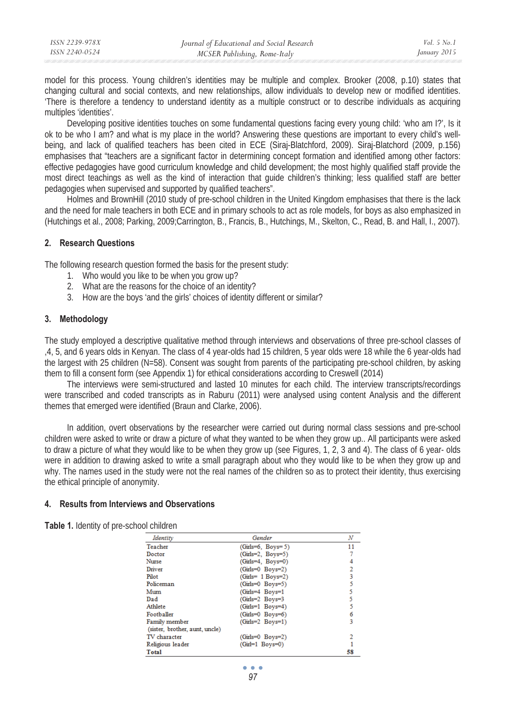model for this process. Young children's identities may be multiple and complex. Brooker (2008, p.10) states that changing cultural and social contexts, and new relationships, allow individuals to develop new or modified identities. 'There is therefore a tendency to understand identity as a multiple construct or to describe individuals as acquiring multiples 'identities'.

Developing positive identities touches on some fundamental questions facing every young child: 'who am I?', Is it ok to be who I am? and what is my place in the world? Answering these questions are important to every child's wellbeing, and lack of qualified teachers has been cited in ECE (Siraj-Blatchford, 2009). Siraj-Blatchord (2009, p.156) emphasises that "teachers are a significant factor in determining concept formation and identified among other factors: effective pedagogies have good curriculum knowledge and child development; the most highly qualified staff provide the most direct teachings as well as the kind of interaction that guide children's thinking; less qualified staff are better pedagogies when supervised and supported by qualified teachers".

Holmes and BrownHill (2010 study of pre-school children in the United Kingdom emphasises that there is the lack and the need for male teachers in both ECE and in primary schools to act as role models, for boys as also emphasized in (Hutchings et al., 2008; Parking, 2009;Carrington, B., Francis, B., Hutchings, M., Skelton, C., Read, B. and Hall, I., 2007).

# **2. Research Questions**

The following research question formed the basis for the present study:

- 1. Who would you like to be when you grow up?
- 2. What are the reasons for the choice of an identity?
- 3. How are the boys 'and the girls' choices of identity different or similar?

## **3. Methodology**

The study employed a descriptive qualitative method through interviews and observations of three pre-school classes of ,4, 5, and 6 years olds in Kenyan. The class of 4 year-olds had 15 children, 5 year olds were 18 while the 6 year-olds had the largest with 25 children (N=58). Consent was sought from parents of the participating pre-school children, by asking them to fill a consent form (see Appendix 1) for ethical considerations according to Creswell (2014)

The interviews were semi-structured and lasted 10 minutes for each child. The interview transcripts/recordings were transcribed and coded transcripts as in Raburu (2011) were analysed using content Analysis and the different themes that emerged were identified (Braun and Clarke, 2006).

In addition, overt observations by the researcher were carried out during normal class sessions and pre-school children were asked to write or draw a picture of what they wanted to be when they grow up.. All participants were asked to draw a picture of what they would like to be when they grow up (see Figures, 1, 2, 3 and 4). The class of 6 year- olds were in addition to drawing asked to write a small paragraph about who they would like to be when they grow up and why. The names used in the study were not the real names of the children so as to protect their identity, thus exercising the ethical principle of anonymity.

#### **4. Results from Interviews and Observations**

| Identity                       | Gender               | Ν  |
|--------------------------------|----------------------|----|
| Teacher                        | $(Girls=6, Boys=5)$  | 11 |
| Doctor                         | $(Girls=2, Boys=5)$  |    |
| <b>Nurse</b>                   | $(Girls=4, Boys=0)$  |    |
| Driver                         | $(Girls=0$ Boys=2)   |    |
| Pilot                          | $(Girls = 1 Boys=2)$ |    |
| Policeman                      | $(Girls=0$ Boys=5)   |    |
| Mum                            | (Girls=4 Boys=1      |    |
| Dad                            | $(Girls=2$ Boys=3    |    |
| Athlete                        | $(Girls=1$ Boys=4)   |    |
| Foothaller                     | $(Girls=0$ Boys=6)   |    |
| Family member                  | $(Girls=2$ Boys=1)   |    |
| (sister, brother, aunt, uncle) |                      |    |
| TV character                   | $(Girls=0$ Boys=2)   |    |
| Religious leader               | $(Girl=1$ Boys=0)    |    |
| Total                          |                      | 58 |

**Table 1.** Identity of pre-school children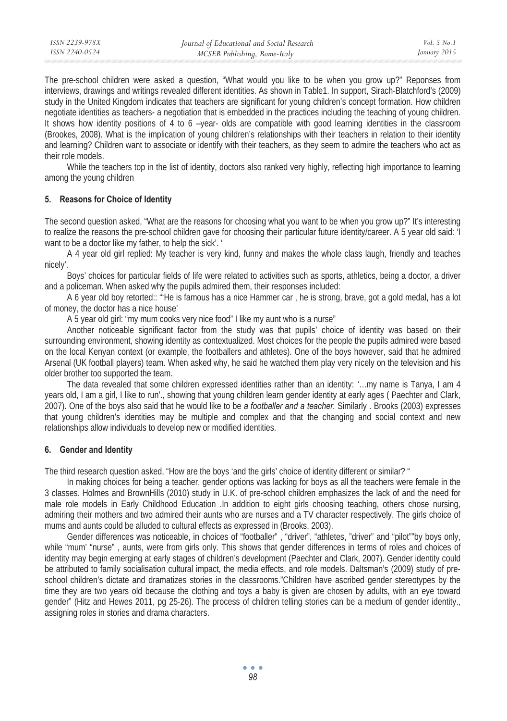The pre-school children were asked a question, "What would you like to be when you grow up?" Reponses from interviews, drawings and writings revealed different identities. As shown in Table1. In support, Sirach-Blatchford's (2009) study in the United Kingdom indicates that teachers are significant for young children's concept formation. How children negotiate identities as teachers- a negotiation that is embedded in the practices including the teaching of young children. It shows how identity positions of 4 to 6 –year- olds are compatible with good learning identities in the classroom (Brookes, 2008). What is the implication of young children's relationships with their teachers in relation to their identity and learning? Children want to associate or identify with their teachers, as they seem to admire the teachers who act as their role models.

While the teachers top in the list of identity, doctors also ranked very highly, reflecting high importance to learning among the young children

# **5. Reasons for Choice of Identity**

The second question asked, "What are the reasons for choosing what you want to be when you grow up?" It's interesting to realize the reasons the pre-school children gave for choosing their particular future identity/career. A 5 year old said: 'I want to be a doctor like my father, to help the sick'. '

A 4 year old girl replied: My teacher is very kind, funny and makes the whole class laugh, friendly and teaches nicely'.

Boys' choices for particular fields of life were related to activities such as sports, athletics, being a doctor, a driver and a policeman. When asked why the pupils admired them, their responses included:

A 6 year old boy retorted:: "'He is famous has a nice Hammer car , he is strong, brave, got a gold medal, has a lot of money, the doctor has a nice house'

A 5 year old girl: "my mum cooks very nice food" I like my aunt who is a nurse"

Another noticeable significant factor from the study was that pupils' choice of identity was based on their surrounding environment, showing identity as contextualized. Most choices for the people the pupils admired were based on the local Kenyan context (or example, the footballers and athletes). One of the boys however, said that he admired Arsenal (UK football players) team. When asked why, he said he watched them play very nicely on the television and his older brother too supported the team.

The data revealed that some children expressed identities rather than an identity: *'…*my name is Tanya, I am 4 years old, I am a girl, I like to run'., showing that young children learn gender identity at early ages ( Paechter and Clark, 2007). One of the boys also said that he would like to be *a footballer and a teacher.* Similarly *.* Brooks (2003) expresses that young children's identities may be multiple and complex and that the changing and social context and new relationships allow individuals to develop new or modified identities.

## **6. Gender and Identity**

The third research question asked, "How are the boys 'and the girls' choice of identity different or similar? "

In making choices for being a teacher, gender options was lacking for boys as all the teachers were female in the 3 classes. Holmes and BrownHills (2010) study in U.K. of pre-school children emphasizes the lack of and the need for male role models in Early Childhood Education .In addition to eight girls choosing teaching, others chose nursing, admiring their mothers and two admired their aunts who are nurses and a TV character respectively. The girls choice of mums and aunts could be alluded to cultural effects as expressed in (Brooks, 2003).

Gender differences was noticeable, in choices of "footballer" , "driver", "athletes, "driver" and "pilot""by boys only, while "mum' "nurse", aunts, were from girls only. This shows that gender differences in terms of roles and choices of identity may begin emerging at early stages of children's development (Paechter and Clark, 2007). Gender identity could be attributed to family socialisation cultural impact, the media effects, and role models. Daltsman's (2009) study of preschool children's dictate and dramatizes stories in the classrooms."Children have ascribed gender stereotypes by the time they are two years old because the clothing and toys a baby is given are chosen by adults, with an eye toward gender" (Hitz and Hewes 2011, pg 25-26). The process of children telling stories can be a medium of gender identity., assigning roles in stories and drama characters.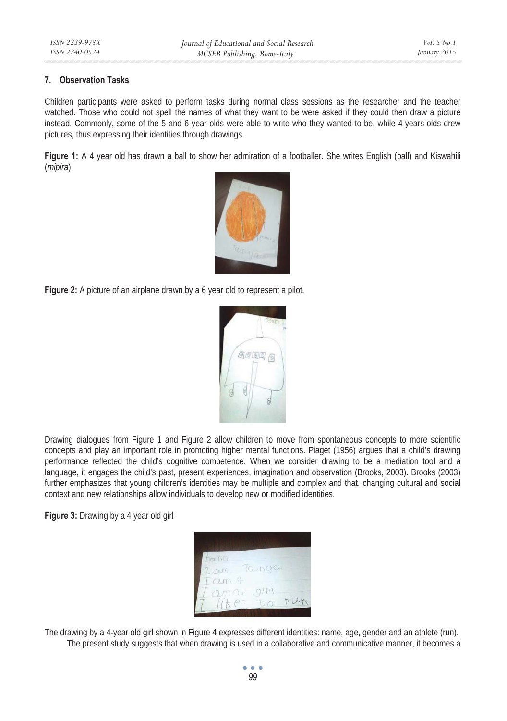# **7. Observation Tasks**

Children participants were asked to perform tasks during normal class sessions as the researcher and the teacher watched. Those who could not spell the names of what they want to be were asked if they could then draw a picture instead. Commonly, some of the 5 and 6 year olds were able to write who they wanted to be, while 4-years-olds drew pictures, thus expressing their identities through drawings.

**Figure 1:** A 4 year old has drawn a ball to show her admiration of a footballer. She writes English (ball) and Kiswahili (*mipira*).



**Figure 2:** A picture of an airplane drawn by a 6 year old to represent a pilot.



Drawing dialogues from Figure 1 and Figure 2 allow children to move from spontaneous concepts to more scientific concepts and play an important role in promoting higher mental functions. Piaget (1956) argues that a child's drawing performance reflected the child's cognitive competence. When we consider drawing to be a mediation tool and a language, it engages the child's past, present experiences, imagination and observation (Brooks, 2003). Brooks (2003) further emphasizes that young children's identities may be multiple and complex and that, changing cultural and social context and new relationships allow individuals to develop new or modified identities.

**Figure 3:** Drawing by a 4 year old girl

| ha NO               |  |
|---------------------|--|
| Tanya<br>$T \cap m$ |  |
| $am +$              |  |
| Q/N<br>$\alpha$ ma  |  |
|                     |  |

The drawing by a 4-year old girl shown in Figure 4 expresses different identities: name, age, gender and an athlete (run). The present study suggests that when drawing is used in a collaborative and communicative manner, it becomes a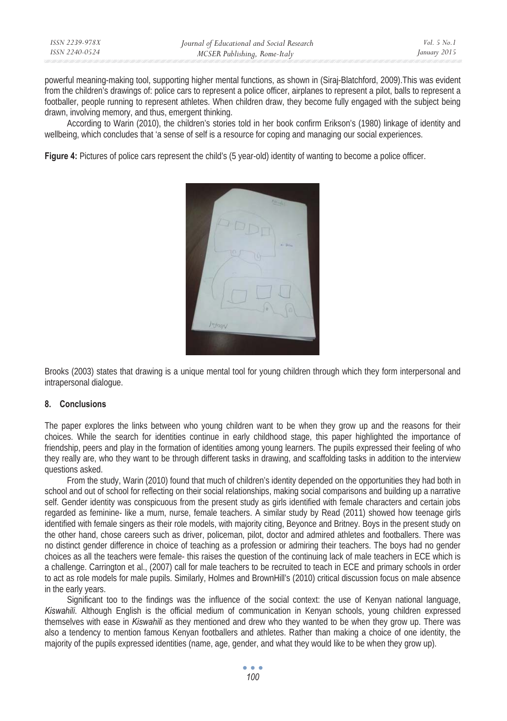powerful meaning-making tool, supporting higher mental functions, as shown in (Siraj-Blatchford, 2009).This was evident from the children's drawings of: police cars to represent a police officer, airplanes to represent a pilot, balls to represent a footballer, people running to represent athletes. When children draw, they become fully engaged with the subject being drawn, involving memory, and thus, emergent thinking.

According to Warin (2010), the children's stories told in her book confirm Erikson's (1980) linkage of identity and wellbeing, which concludes that 'a sense of self is a resource for coping and managing our social experiences.

**Figure 4:** Pictures of police cars represent the child's (5 year-old) identity of wanting to become a police officer.



Brooks (2003) states that drawing is a unique mental tool for young children through which they form interpersonal and intrapersonal dialogue.

## **8. Conclusions**

The paper explores the links between who young children want to be when they grow up and the reasons for their choices. While the search for identities continue in early childhood stage, this paper highlighted the importance of friendship, peers and play in the formation of identities among young learners. The pupils expressed their feeling of who they really are, who they want to be through different tasks in drawing, and scaffolding tasks in addition to the interview questions asked.

From the study, Warin (2010) found that much of children's identity depended on the opportunities they had both in school and out of school for reflecting on their social relationships, making social comparisons and building up a narrative self. Gender identity was conspicuous from the present study as girls identified with female characters and certain jobs regarded as feminine- like a mum, nurse, female teachers. A similar study by Read (2011) showed how teenage girls identified with female singers as their role models, with majority citing, Beyonce and Britney. Boys in the present study on the other hand, chose careers such as driver, policeman, pilot, doctor and admired athletes and footballers. There was no distinct gender difference in choice of teaching as a profession or admiring their teachers. The boys had no gender choices as all the teachers were female- this raises the question of the continuing lack of male teachers in ECE which is a challenge. Carrington et al., (2007) call for male teachers to be recruited to teach in ECE and primary schools in order to act as role models for male pupils. Similarly, Holmes and BrownHill's (2010) critical discussion focus on male absence in the early years.

Significant too to the findings was the influence of the social context: the use of Kenyan national language, *Kiswahili*. Although English is the official medium of communication in Kenyan schools, young children expressed themselves with ease in *Kiswahili* as they mentioned and drew who they wanted to be when they grow up. There was also a tendency to mention famous Kenyan footballers and athletes. Rather than making a choice of one identity, the majority of the pupils expressed identities (name, age, gender, and what they would like to be when they grow up).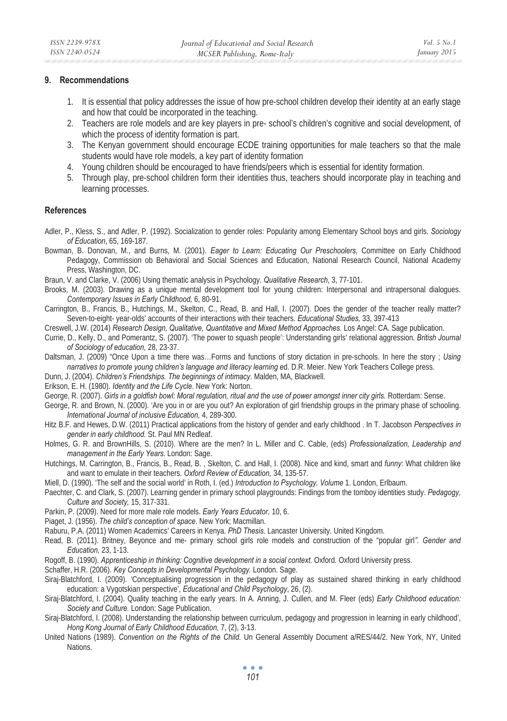#### **9. Recommendations**

- 1. It is essential that policy addresses the issue of how pre-school children develop their identity at an early stage and how that could be incorporated in the teaching.
- 2. Teachers are role models and are key players in pre- school's children's cognitive and social development, of which the process of identity formation is part.
- 3. The Kenyan government should encourage ECDE training opportunities for male teachers so that the male students would have role models, a key part of identity formation
- 4. Young children should be encouraged to have friends/peers which is essential for identity formation.
- 5. Through play, pre-school children form their identities thus, teachers should incorporate play in teaching and learning processes.

#### **References**

Adler, P., Kless, S., and Adler, P. (1992). Socialization to gender roles: Popularity among Elementary School boys and girls. *Sociology of Education*, 65, 169-187.

Bowman, B. Donovan, M., and Burns, M. (2001). *Eager to Learn: Educating Our Preschoolers,* Committee on Early Childhood Pedagogy, Commission ob Behavioral and Social Sciences and Education, National Research Council, National Academy Press, Washington, DC.

- Braun, V. and Clarke, V. (2006) Using thematic analysis in Psychology. *Qualitative Research*, 3, 77-101.
- Brooks, M. (2003). Drawing as a unique mental development tool for young children: Interpersonal and intrapersonal dialogues. *Contemporary Issues in Early Childhood,* 6, 80-91.

Carrington, B., Francis, B., Hutchings, M., Skelton, C., Read, B. and Hall, I. (2007). Does the gender of the teacher really matter? Seven-to-eight- year-olds' accounts of their interactions with their teachers. *Educational Studies,* 33, 397-413

Creswell, J.W. (2014) *Research Design, Qualitative, Quantitative and Mixed Method Approaches.* Los Angel: CA. Sage publication.

Currie, D., Kelly, D., and Pomerantz, S. (2007). 'The power to squash people': Understanding girls' relational aggression. *British Journal of Sociology of education,* 28, 23-37.

Daltsman, J. (2009) "Once Upon a time there was…Forms and functions of story dictation in pre-schools. In here the story ; *Using narratives to promote young children's language and literacy learning e*d. D.R. Meier. New York Teachers College press.

Dunn, J. (2004). *Children's Friendships. The beginnings of intimacy*. Malden, MA, Blackwell.

Erikson, E. H. (1980). *Identity and the Life Cycle*. New York: Norton.

George, R. (2007). Girls in a goldfish bowl: Moral regulation, ritual and the use of power amongst inner city girls. Rotterdam: Sense.

George, R. and Brown, N. (2000). 'Are you in or are you out? An exploration of girl friendship groups in the primary phase of schooling. *International Journal of inclusive Education,* 4, 289-300.

Hitz B.F. and Hewes, D.W. (2011) Practical applications from the history of gender and early childhood . In T. Jacobson *Perspectives in gender in early childhood.* St. Paul MN Redleaf.

Holmes, G. R. and BrownHills, S. (2010). Where are the men? In L. Miller and C. Cable, (eds) *Professionalization, Leadership and management in the Early Years.* London: Sage.

Hutchings, M. Carrington, B., Francis, B., Read, B. , Skelton, C. and Hall, I. (2008). Nice and kind, smart and *funny*: What children like and want to emulate in their teachers. *Oxford Review of Education,* 34, 135-57.

Miell, D. (1990). 'The self and the social world' in Roth, I. (ed.) *Introduction to Psychology, Volume* 1. London, Erlbaum.

Paechter, C. and Clark, S. (2007). Learning gender in primary school playgrounds: Findings from the tomboy identities study. *Pedagogy, Culture and Society,* 15, 317-331.

Parkin, P. (2009). Need for more male role models. *Early Years Educator,* 10, 6.

Piaget, J. (1956). *The child's conception of space*. New York; Macmillan.

Raburu, P.A. (2011) Women Academics' Careers in Kenya. *PhD Thesis.* Lancaster University. United Kingdom.

Read, B. (2011). Britney, Beyonce and me- primary school girls role models and construction of the "popular girl*". Gender and Education,* 23, 1-13.

Rogoff, B. (1990). *Apprenticeship in thinking: Cognitive development in a social context.* Oxford. Oxford University press.

Schaffer, H.R. (2006). *Key Concepts in Developmental Psychology.* London. Sage.

Siraj-Blatchford, I. (2009). 'Conceptualising progression in the pedagogy of play as sustained shared thinking in early childhood education: a Vygotskian perspective', *Educational and Child Psychology*, 26, (2).

Siraj-Blatchford, I. (2004). Quality teaching in the early years. In A. Anning, J. Cullen, and M. Fleer (eds) *Early Childhood education: Society and Culture.* London: Sage Publication.

Siraj-Blatchford, I. (2008). Understanding the relationship between curriculum, pedagogy and progression in learning in early childhood', *Hong Kong Journal of Early Childhood Education,* 7, (2), 3-13.

United Nations (1989). *Convention on the Rights of the Child.* Un General Assembly Document a/RES/44/2. New York, NY, United Nations.